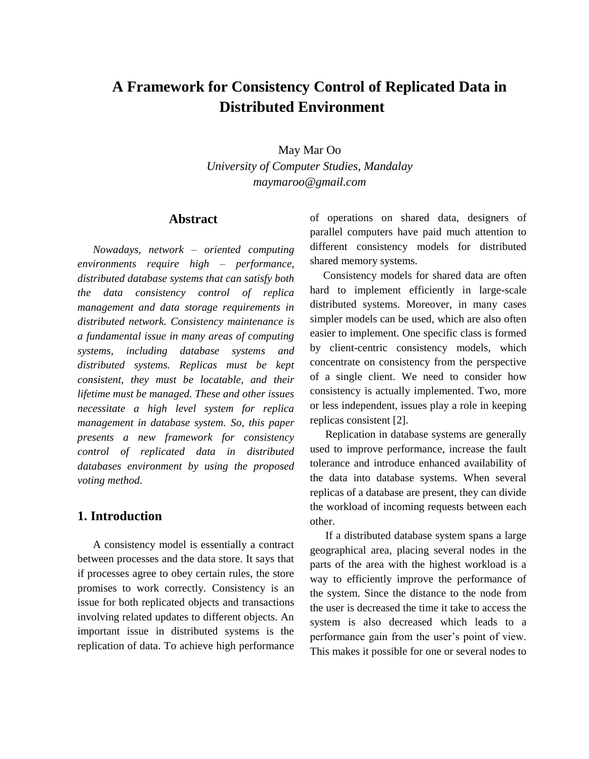# **A Framework for Consistency Control of Replicated Data in Distributed Environment**

May Mar Oo *University of Computer Studies, Mandalay maymaroo@gmail.com*

### **Abstract**

*Nowadays, network – oriented computing environments require high – performance, distributed database systems that can satisfy both the data consistency control of replica management and data storage requirements in distributed network. Consistency maintenance is a fundamental issue in many areas of computing systems, including database systems and distributed systems. Replicas must be kept consistent, they must be locatable, and their lifetime must be managed. These and other issues necessitate a high level system for replica management in database system. So, this paper presents a new framework for consistency control of replicated data in distributed databases environment by using the proposed voting method.* 

### **1. Introduction**

A consistency model is essentially a contract between processes and the data store. It says that if processes agree to obey certain rules, the store promises to work correctly. Consistency is an issue for both replicated objects and transactions involving related updates to different objects. An important issue in distributed systems is the replication of data. To achieve high performance

of operations on shared data, designers of parallel computers have paid much attention to different consistency models for distributed shared memory systems.

Consistency models for shared data are often hard to implement efficiently in large-scale distributed systems. Moreover, in many cases simpler models can be used, which are also often easier to implement. One specific class is formed by client-centric consistency models, which concentrate on consistency from the perspective of a single client. We need to consider how consistency is actually implemented. Two, more or less independent, issues play a role in keeping replicas consistent [2].

Replication in database systems are generally used to improve performance, increase the fault tolerance and introduce enhanced availability of the data into database systems. When several replicas of a database are present, they can divide the workload of incoming requests between each other.

If a distributed database system spans a large geographical area, placing several nodes in the parts of the area with the highest workload is a way to efficiently improve the performance of the system. Since the distance to the node from the user is decreased the time it take to access the system is also decreased which leads to a performance gain from the user's point of view. This makes it possible for one or several nodes to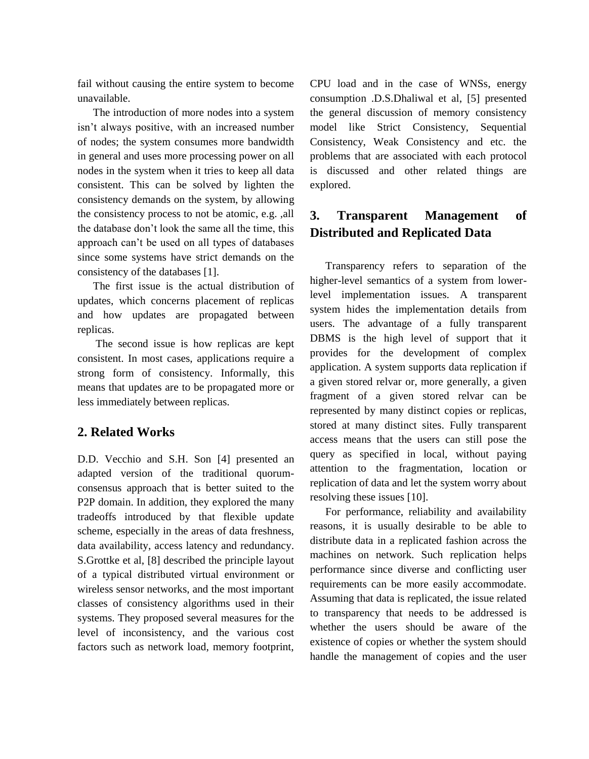fail without causing the entire system to become unavailable.

The introduction of more nodes into a system isn't always positive, with an increased number of nodes; the system consumes more bandwidth in general and uses more processing power on all nodes in the system when it tries to keep all data consistent. This can be solved by lighten the consistency demands on the system, by allowing the consistency process to not be atomic, e.g. ,all the database don't look the same all the time, this approach can't be used on all types of databases since some systems have strict demands on the consistency of the databases [1].

The first issue is the actual distribution of updates, which concerns placement of replicas and how updates are propagated between replicas.

The second issue is how replicas are kept consistent. In most cases, applications require a strong form of consistency. Informally, this means that updates are to be propagated more or less immediately between replicas.

### **2. Related Works**

D.D. Vecchio and S.H. Son [4] presented an adapted version of the traditional quorumconsensus approach that is better suited to the P2P domain. In addition, they explored the many tradeoffs introduced by that flexible update scheme, especially in the areas of data freshness, data availability, access latency and redundancy. S.Grottke et al, [8] described the principle layout of a typical distributed virtual environment or wireless sensor networks, and the most important classes of consistency algorithms used in their systems. They proposed several measures for the level of inconsistency, and the various cost factors such as network load, memory footprint,

CPU load and in the case of WNSs, energy consumption .D.S.Dhaliwal et al, [5] presented the general discussion of memory consistency model like Strict Consistency, Sequential Consistency, Weak Consistency and etc. the problems that are associated with each protocol is discussed and other related things are explored.

## **3. Transparent Management of Distributed and Replicated Data**

Transparency refers to separation of the higher-level semantics of a system from lowerlevel implementation issues. A transparent system hides the implementation details from users. The advantage of a fully transparent DBMS is the high level of support that it provides for the development of complex application. A system supports data replication if a given stored relvar or, more generally, a given fragment of a given stored relvar can be represented by many distinct copies or replicas, stored at many distinct sites. Fully transparent access means that the users can still pose the query as specified in local, without paying attention to the fragmentation, location or replication of data and let the system worry about resolving these issues [10].

For performance, reliability and availability reasons, it is usually desirable to be able to distribute data in a replicated fashion across the machines on network. Such replication helps performance since diverse and conflicting user requirements can be more easily accommodate. Assuming that data is replicated, the issue related to transparency that needs to be addressed is whether the users should be aware of the existence of copies or whether the system should handle the management of copies and the user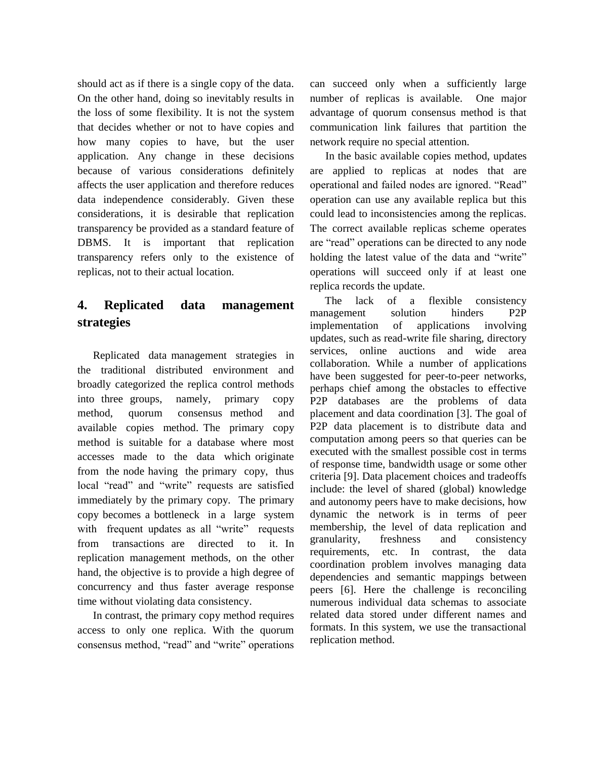should act as if there is a single copy of the data. On the other hand, doing so inevitably results in the loss of some flexibility. It is not the system that decides whether or not to have copies and how many copies to have, but the user application. Any change in these decisions because of various considerations definitely affects the user application and therefore reduces data independence considerably. Given these considerations, it is desirable that replication transparency be provided as a standard feature of DBMS. It is important that replication transparency refers only to the existence of replicas, not to their actual location.

## **4. Replicated data management strategies**

Replicated data management strategies in the traditional distributed environment and broadly categorized the replica control methods into three groups, namely, primary copy method, quorum consensus method and available copies method. The primary copy method is suitable for a database where most accesses made to the data which originate from the node having the primary copy, thus local "read" and "write" requests are satisfied immediately by the primary copy. The primary copy becomes a bottleneck in a large system with frequent updates as all "write" requests from transactions are directed to it. In replication management methods, on the other hand, the objective is to provide a high degree of concurrency and thus faster average response time without violating data consistency.

In contrast, the primary copy method requires access to only one replica. With the quorum consensus method, "read" and "write" operations can succeed only when a sufficiently large number of replicas is available. One major advantage of quorum consensus method is that communication link failures that partition the network require no special attention.

In the basic available copies method, updates are applied to replicas at nodes that are operational and failed nodes are ignored. "Read" operation can use any available replica but this could lead to inconsistencies among the replicas. The correct available replicas scheme operates are "read" operations can be directed to any node holding the latest value of the data and "write" operations will succeed only if at least one replica records the update.

The lack of a flexible consistency management solution hinders P2P implementation of applications involving updates, such as read-write file sharing, directory services, online auctions and wide area collaboration. While a number of applications have been suggested for peer-to-peer networks, perhaps chief among the obstacles to effective P2P databases are the problems of data placement and data coordination [3]. The goal of P2P data placement is to distribute data and computation among peers so that queries can be executed with the smallest possible cost in terms of response time, bandwidth usage or some other criteria [9]. Data placement choices and tradeoffs include: the level of shared (global) knowledge and autonomy peers have to make decisions, how dynamic the network is in terms of peer membership, the level of data replication and granularity, freshness and consistency requirements, etc. In contrast, the data coordination problem involves managing data dependencies and semantic mappings between peers [6]. Here the challenge is reconciling numerous individual data schemas to associate related data stored under different names and formats. In this system, we use the transactional replication method.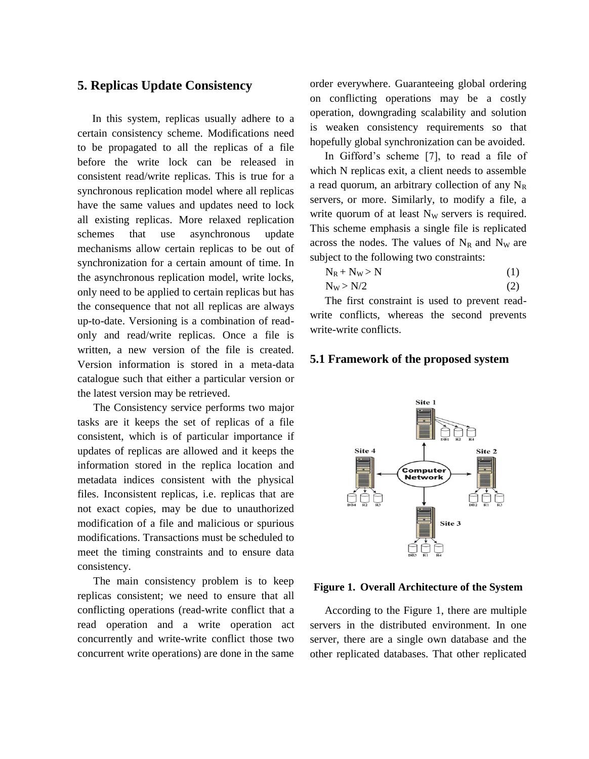#### **5. Replicas Update Consistency**

In this system, replicas usually adhere to a certain consistency scheme. Modifications need to be propagated to all the replicas of a file before the write lock can be released in consistent read/write replicas. This is true for a synchronous replication model where all replicas have the same values and updates need to lock all existing replicas. More relaxed replication schemes that use asynchronous update mechanisms allow certain replicas to be out of synchronization for a certain amount of time. In the asynchronous replication model, write locks, only need to be applied to certain replicas but has the consequence that not all replicas are always up-to-date. Versioning is a combination of readonly and read/write replicas. Once a file is written, a new version of the file is created. Version information is stored in a meta-data catalogue such that either a particular version or the latest version may be retrieved.

The Consistency service performs two major tasks are it keeps the set of replicas of a file consistent, which is of particular importance if updates of replicas are allowed and it keeps the information stored in the replica location and metadata indices consistent with the physical files. Inconsistent replicas, i.e. replicas that are not exact copies, may be due to unauthorized modification of a file and malicious or spurious modifications. Transactions must be scheduled to meet the timing constraints and to ensure data consistency.

The main consistency problem is to keep replicas consistent; we need to ensure that all conflicting operations (read-write conflict that a read operation and a write operation act concurrently and write-write conflict those two concurrent write operations) are done in the same

order everywhere. Guaranteeing global ordering on conflicting operations may be a costly operation, downgrading scalability and solution is weaken consistency requirements so that hopefully global synchronization can be avoided.

In Gifford's scheme [7], to read a file of which N replicas exit, a client needs to assemble a read quorum, an arbitrary collection of any  $N_R$ servers, or more. Similarly, to modify a file, a write quorum of at least  $N_W$  servers is required. This scheme emphasis a single file is replicated across the nodes. The values of  $N_R$  and  $N_W$  are subject to the following two constraints:

$$
N_R + N_W > N \tag{1}
$$

$$
N_W > N/2 \tag{2}
$$

The first constraint is used to prevent readwrite conflicts, whereas the second prevents write-write conflicts.

#### **5.1 Framework of the proposed system**



#### **Figure 1. Overall Architecture of the System**

According to the Figure 1, there are multiple servers in the distributed environment. In one server, there are a single own database and the other replicated databases. That other replicated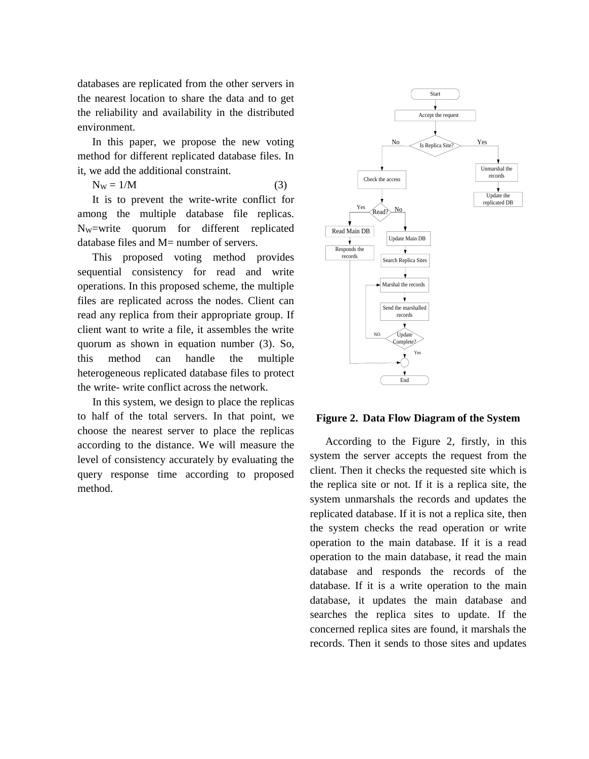databases are replicated from the other servers in the nearest location to share the data and to get the reliability and availability in the distributed environment.

In this paper, we propose the new voting method for different replicated database files. In it, we add the additional constraint.

$$
N_{W} = 1/M \tag{3}
$$

It is to prevent the write-write conflict for among the multiple database file replicas. NW=write quorum for different replicated database files and  $M=$  number of servers.

This proposed voting method provides sequential consistency for read and write operations. In this proposed scheme, the multiple files are replicated across the nodes. Client can read any replica from their appropriate group. If client want to write a file, it assembles the write quorum as shown in equation number (3). So, this method can handle the multiple heterogeneous replicated database files to protect the write- write conflict across the network.

In this system, we design to place the replicas to half of the total servers. In that point, we choose the nearest server to place the replicas according to the distance. We will measure the level of consistency accurately by evaluating the query response time according to proposed method.



**Figure 2. Data Flow Diagram of the System**

According to the Figure 2, firstly, in this system the server accepts the request from the client. Then it checks the requested site which is the replica site or not. If it is a replica site, the system unmarshals the records and updates the replicated database. If it is not a replica site, then the system checks the read operation or write operation to the main database. If it is a read operation to the main database, it read the main database and responds the records of the database. If it is a write operation to the main database, it updates the main database and searches the replica sites to update. If the concerned replica sites are found, it marshals the records. Then it sends to those sites and updates